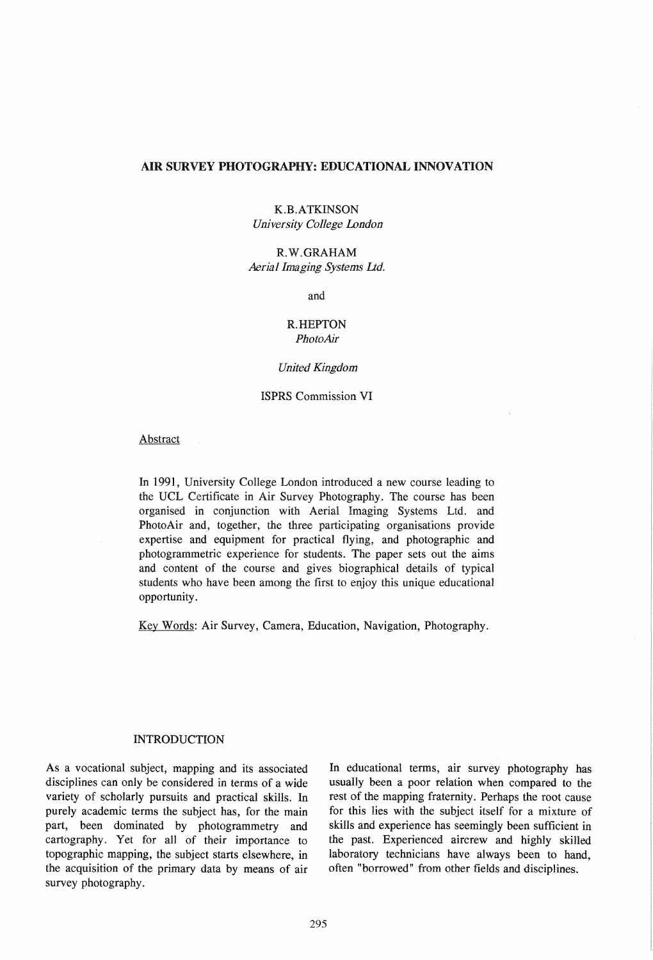#### AIR SURVEY PHOTOGRAPHY: EDUCATIONAL INNOVATION

### K.B.ATKINSON *University College London*

### R.W.GRAHAM *Aerial Imaging Systems lid.*

and

### R.HEPTON *PhotoAir*

#### *United Kingdom*

### ISPRS Commission VI

### Abstract

In 1991, University College London introduced a new course leading to the UCL Certificate in Air Survey Photography. The course has been organised in conjunction with Aerial Imaging Systems Ltd. and PhotoAir and, together, the three participating organisations provide expertise and equipment for practical flying, and photographic and photogrammetric experience for students. The paper sets out the aims and content of the course and gives biographical details of typical students who have been among the first to enjoy this unique educational opportunity.

Key Words: Air Survey, Camera, Education, Navigation, Photography.

#### INTRODUCTION

As a vocational subject, mapping and its associated disciplines can only be considered in terms of a wide variety of scholarly pursuits and practical skills. In purely academic terms the subject has, for the main part, been dominated by photogrammetry and cartography. Yet for all of their importance to topographic mapping, the subject starts elsewhere, in the acquisition of the primary data by means of air survey photography.

In educational terms, air survey photography has usually been a poor relation when compared to the rest of the mapping fraternity. Perhaps the root cause for this lies with the subject itself for a mixture of skills and experience has seemingly been sufficient in the past. Experienced aircrew and highly skilled laboratory technicians have always been to hand, often "borrowed" from other fields and disciplines.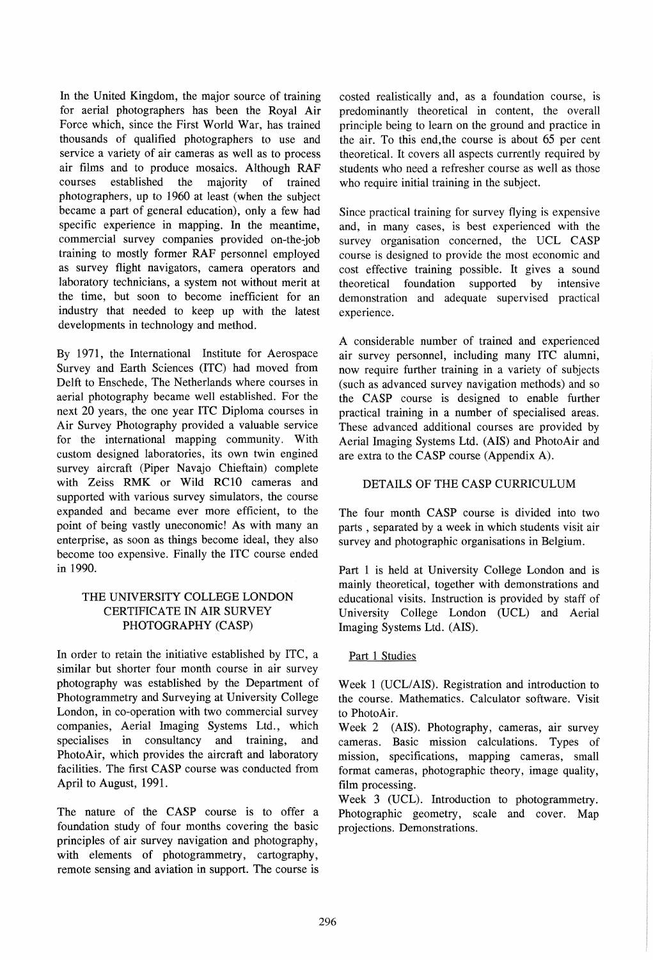In the United Kingdom, the major source of training for aerial photographers has been the Royal Air Force which, since the First World War, has trained thousands of qualified photographers to use and service a variety of air cameras as well as to process air films and to produce mosaics. Although RAF courses established the maiority of trained photographers, up to 1960 at least (when the subject became a part of general education), only a few had specific experience in mapping. In the meantime, commercial survey companies provided on-the-job training to mostly former RAF personnel employed as survey flight navigators, camera operators and laboratory technicians, a system not without merit at the time, but soon to become inefficient for an industry that needed to keep up with the latest developments in technology and method.

By 1971, the International Institute for Aerospace Survey and Earth Sciences (ITC) had moved from Delft to Enschede, The Netherlands where courses in aerial photography became well established. For the next 20 years, the one year ITC Diploma courses in Air Survey Photography provided a valuable service for the international mapping community. With custom designed laboratories, its own twin engined survey aircraft (Piper Navajo Chieftain) complete with Zeiss RMK or Wild RC10 cameras and supported with various survey simulators, the course expanded and became ever more efficient, to the point of being vastly uneconomic! As with many an enterprise, as soon as things become ideal, they also become too expensive. Finally the ITC course ended in 1990.

## THE UNIVERSITY COLLEGE LONDON CERTIFICATE IN AIR SURVEY PHOTOGRAPHY (CASP)

In order to retain the initiative established by lTC, a similar but shorter four month course in air survey photography was established by the Department of Photogrammetry and Surveying at University College London, in co-operation with two commercial survey companies, Aerial Imaging Systems Ltd., which specialises in consultancy and training, and PhotoAir, which provides the aircraft and laboratory facilities. The first CASP course was conducted from April to August, 1991.

The nature of the CASP course is to offer a foundation study of four months covering the basic principles of air survey navigation and photography, with elements of photogrammetry, cartography, remote sensing and aviation in support. The course is

costed realistically and, as a foundation course, is predominantly theoretical in content, the overall principle being to learn on the ground and practice in the air. To this end,the course is about 65 per cent theoretical. It covers all aspects currently required by students who need a refresher course as well as those who require initial training in the subject.

Since practical training for survey flying is expensive and, in many cases, is best experienced with the survey organisation concerned, the UCL CASP course is designed to provide the most economic and cost effective training possible. It gives a sound theoretical foundation supported by intensive demonstration and adequate supervised practical experience.

A considerable number of trained and experienced air survey personnel, including many ITC alumni, now require further training in a variety of subjects (such as advanced survey navigation methods) and so the CASP course is designed to enable further practical training in a number of specialised areas. These advanced additional courses are provided by Aerial Imaging Systems Ltd. (AIS) and PhotoAir and are extra to the CASP course (Appendix A).

## DETAILS OF THE CASP CURRICULUM

The four month CASP course is divided into two parts , separated by a week in which students visit air survey and photographic organisations in Belgium.

Part 1 is held at University College London and is mainly theoretical, together with demonstrations and educational visits. Instruction is provided by staff of University College London (UCL) and Aerial Imaging Systems Ltd. (AIS).

## Part 1 Studies

Week 1 (UCL/AIS). Registration and introduction to the course. Mathematics. Calculator software. Visit to PhotoAir.

Week 2 (AIS). Photography, cameras, air survey cameras. Basic mission calculations. Types of mission, specifications, mapping cameras, small format cameras, photographic theory, image quality, film processing.

Week 3 (UCL). Introduction to photogrammetry. Photographic geometry, scale and cover. Map projections. Demonstrations.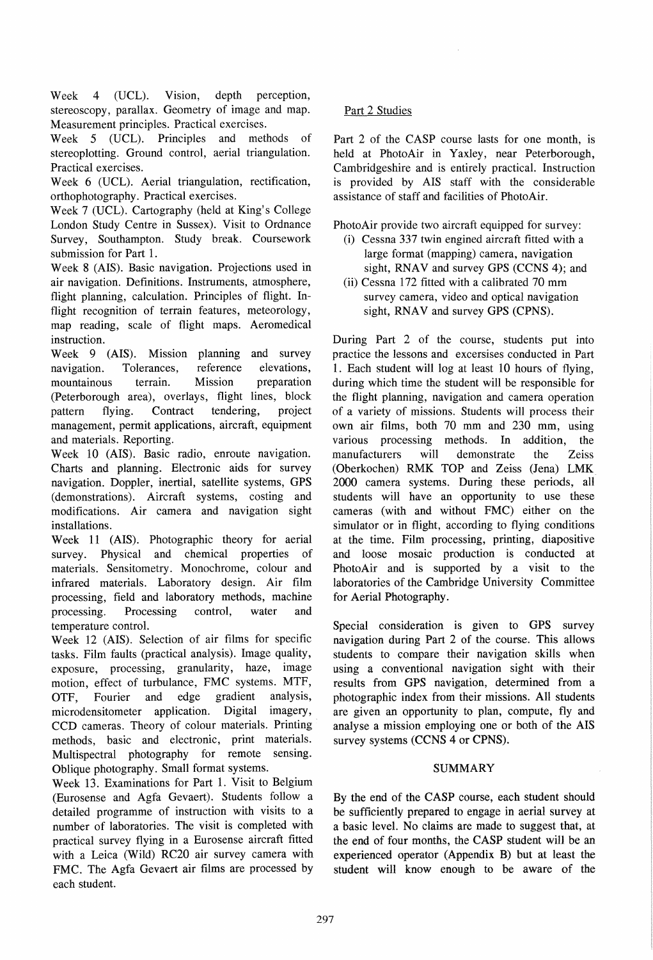Week 4 (UCL). Vision, depth perception, stereoscopy, parallax. Geometry of image and map. Measurement principles. Practical exercises.

Week 5 (UCL). Principles and methods of stereoplotting. Ground control, aerial triangulation. Practical exercises.

Week 6 (UCL). Aerial triangulation, rectification, orthophotography. Practical exercises.

Week 7 (UCL). Cartography (held at King's College London Study Centre in Sussex). Visit to Ordnance Survey, Southampton. Study break. Coursework submission for Part 1.

Week 8 (AIS). Basic navigation. Projections used in air navigation. Definitions. Instruments, atmosphere, flight planning, calculation. Principles of flight. Inflight recognition of terrain features, meteorology, map reading, scale of flight maps. Aeromedical instruction.

Week 9 (AIS). Mission planning and survey navigation. Tolerances, reference elevations, mountainous terrain. Mission preparation (Peterborough area), overlays, flight lines, block pattern flying. Contract tendering, project management, permit applications, aircraft, equipment and materials. Reporting.

Week 10 (AIS). Basic radio, enroute navigation. Charts and planning. Electronic aids for survey navigation. Doppler, inertial, satellite systems, GPS (demonstrations). Aircraft systems, costing and modifications. Air camera and navigation sight installations.

Week 11 (AIS). Photographic theory for aerial survey. Physical and chemical properties of materials. Sensitometry. Monochrome, colour and infrared materials. Laboratory design. Air film processing, field and laboratory methods, machine processing. Processing control, water and temperature control.

Week 12 (AIS). Selection of air films for specific tasks. Film faults (practical analysis). Image quality, exposure, processing, granularity, haze, image motion, effect of turbulance, FMC systems. MTF, OTF, Fourier and edge gradient analysis, microdensitometer application. Digital imagery, CCD cameras. Theory of colour materials. Printing methods, basic and electronic, print materials. Multispectral photography for remote sensing. Oblique photography. Small format systems.

Week 13. Examinations for Part 1. Visit to Belgium (Eurosense and Agfa Gevaert). Students follow a detailed programme of instruction with visits to a number of laboratories. The visit is completed with practical survey flying in a Eurosense aircraft fitted with a Leica (Wild) RC20 air survey camera with FMC. The Agfa Gevaert air films are processed by each student.

# Part 2 Studies

Part 2 of the CASP course lasts for one month, is held at PhotoAir in Yaxley, near Peterborough, Cambridgeshire and is entirely practical. Instruction is provided by AIS staff with the considerable assistance of staff and facilities of Photo Air.

PhotoAir provide two aircraft equipped for survey:

- (i) Cessna 337 twin engined aircraft fitted with a large format (mapping) camera, navigation sight, RNAV and survey GPS  $(CCNS 4)$ ; and
- (ii) Cessna 172 fitted with a calibrated 70 mm survey camera, video and optical navigation sight, RNAV and survey GPS (CPNS).

During Part 2 of the course, students put into practice the lessons and excersises conducted in Part 1. Each student will log at least 10 hours of flying, during which time the student will be responsible for the flight planning, navigation and camera operation of a variety of missions. Students will process their own air films, both 70 mm and 230 mm, using various processing methods. In addition, the manufacturers will demonstrate the Zeiss (Oberkochen) RMK TOP and Zeiss (Jena) LMK\_ 2000 camera systems. During these periods, all students will have an opportunity to use these cameras (with and without FMC) either on the simulator or in flight, according to flying conditions at the time. Film processing, printing, diapositive and loose mosaic production is conducted at PhotoAir and is supported by a visit to the laboratories of the Cambridge University Committee for Aerial Photography.

Special consideration is given to GPS survey navigation during Part 2 of the course. This allows students to compare their navigation skills when using a conventional navigation sight with their results from GPS navigation, determined from a photographic index from their missions. All students are given an opportunity to plan, compute, fly and analyse a mission employing one or both of the AIS survey systems (CCNS 4 or CPNS).

### **SUMMARY**

By the end of the CASP course, each student should be sufficiently prepared to engage in aerial survey at a basic level. No claims are made to suggest that, at the end of four months, the CASP student will be an experienced operator (Appendix B) but at least the student will know enough to be aware of the